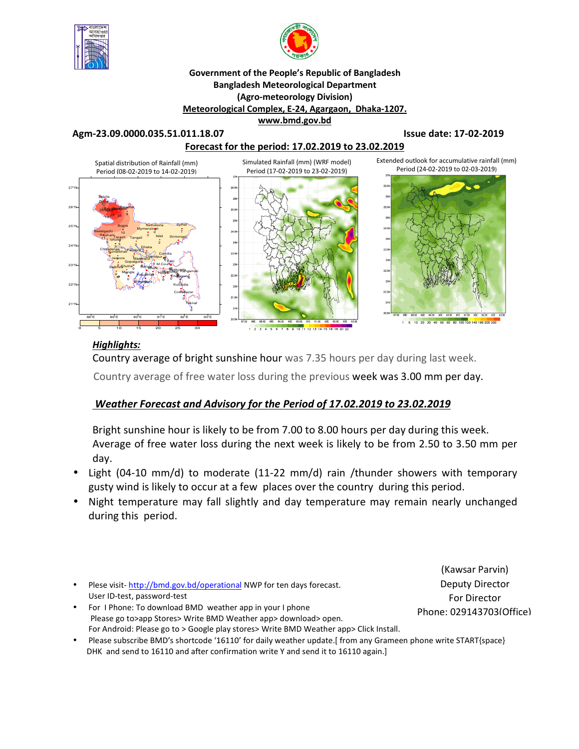



#### **Government of the People's Republic of Bangladesh Bangladesh Meteorological Department (Agro-meteorology Division) Meteorological Complex, E-24, Agargaon, Dhaka-1207. www.bmd.gov.bd**

**Agm-23.09.0000.035.51.011.18.07 Issue date: 17-02-2019** 



### *Highlights:*

Country average of bright sunshine hour was 7.35 hours per day during last week.

Country average of free water loss during the previous week was 3.00 mm per day.

## *Weather Forecast and Advisory for the Period of 17.02.2019 to 23.02.2019*

Bright sunshine hour is likely to be from 7.00 to 8.00 hours per day during this week. Average of free water loss during the next week is likely to be from 2.50 to 3.50 mm per day.

- Light (04-10 mm/d) to moderate (11-22 mm/d) rain /thunder showers with temporary gusty wind is likely to occur at a few places over the country during this period.
- Night temperature may fall slightly and day temperature may remain nearly unchanged during this period.
- Plese visit-http://bmd.gov.bd/operational NWP for ten days forecast. User ID-test, password-test
- For I Phone: To download BMD weather app in your I phone Please go to>app Stores> Write BMD Weather app> download> open. For Android: Please go to > Google play stores> Write BMD Weather app> Click Install.
- Please subscribe BMD's shortcode '16110' for daily weather update.[ from any Grameen phone write START{space} DHK and send to 16110 and after confirmation write Y and send it to 16110 again.]

(Kawsar Parvin) Deputy Director For Director Phone: 029143703(Office)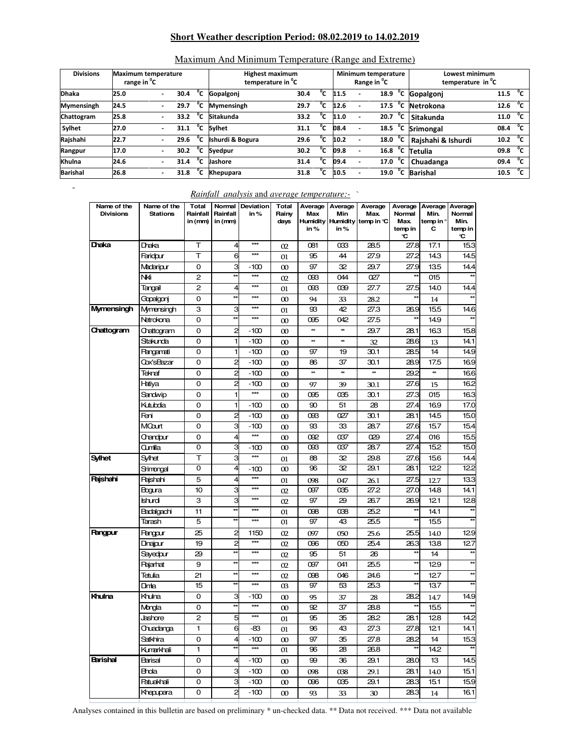#### **Short Weather description Period: 08.02.2019 to 14.02.2019**

| <b>Divisions</b><br><b>Maximum temperature</b> |                         |                          |      | <b>Highest maximum</b> |                               |      |    |      | <b>Minimum temperature</b> | Lowest minimum                |                                   |                      |
|------------------------------------------------|-------------------------|--------------------------|------|------------------------|-------------------------------|------|----|------|----------------------------|-------------------------------|-----------------------------------|----------------------|
|                                                | range in <sup>o</sup> C |                          |      |                        | temperature in <sup>"</sup> C |      |    |      |                            | Range in <sup>"</sup> C       | temperature in <sup>o</sup> C     |                      |
| <b>Dhaka</b>                                   | 25.0                    | $\overline{\phantom{a}}$ | 30.4 | °c                     | Gopalgonj                     | 30.4 | °c | 11.5 |                            | $^{\circ}$ c<br>18.9          | Gopalgonj                         | °c<br>11.5           |
| <b>Mymensingh</b>                              | 24.5                    |                          | 29.7 | °c                     | <b>Mymensingh</b>             | 29.7 | °c | 12.6 |                            | $^{\circ}$ c<br>17.5          | Netrokona                         | $^{\circ}$ C<br>12.6 |
| Chattogram                                     | 25.8                    |                          | 33.2 | °c                     | Sitakunda                     | 33.2 | °c | 11.0 | $\overline{\phantom{a}}$   | °c<br>20.7                    | Sitakunda                         | °c<br>11.0           |
| Sylhet                                         | 27.0                    |                          | 31.1 | °c                     | <b>Sylhet</b>                 | 31.1 | °c | 08.4 |                            | 18.5                          | <sup>o</sup> C Srimongal          | $^{\circ}$ c<br>08.4 |
| Rajshahi                                       | 22.7                    |                          | 29.6 | °c                     | Ishurdi & Bogura              | 29.6 | °c | 10.2 |                            | 18.0                          | $\overline{C}$ Rajshahi & Ishurdi | $^{\circ}$ C<br>10.2 |
| Rangpur                                        | 17.0                    | ٠                        | 30.2 | °c                     | Syedpur                       | 30.2 | °с | 09.8 |                            | $16.8$ <sup>°</sup> C Tetulia |                                   | °c<br>09.8           |
| Khulna                                         | 24.6                    | $\overline{\phantom{a}}$ | 31.4 | °c                     | Jashore                       | 31.4 | °c | 09.4 |                            | 17.0                          | $\overline{C}$ Chuadanga          | $^{\circ}$ c<br>09.4 |
| <b>Barishal</b>                                | 26.8                    |                          | 31.8 | °c                     | Khepupara                     | 31.8 | °c | 10.5 |                            | 19.0                          | $\overline{C}$ Barishal           | °c<br>10.5           |

#### Maximum And Minimum Temperature (Range and Extreme)

#### *Rainfall analysis* and *average temperature:-* `

| Name of the<br><b>Divisions</b> | Name of the<br>Stations | <b>Total</b><br>Rainfall<br>in (mm) | Rainfall<br>in (mm)          | Normal Deviation<br>in $%$ | Total<br>Rainv<br>days | Max<br><b>Humidity</b><br>in% | Average   Average  <br>Min<br>in % | Average<br>Max.<br>Humidity temp in °C | Normal<br>Max.<br>temp in<br>C | Min.<br>temp in °<br>С | Average Average Average<br>Normal<br>Min.<br>temp in<br>C |
|---------------------------------|-------------------------|-------------------------------------|------------------------------|----------------------------|------------------------|-------------------------------|------------------------------------|----------------------------------------|--------------------------------|------------------------|-----------------------------------------------------------|
| Dhaka                           | Dhaka                   | т                                   | $\overline{4}$               | $\star\star\star$          | 02                     | 081                           | 033                                | 28.5                                   | 27.8                           | 17.1                   | 15.3                                                      |
|                                 | Faridour                | т                                   | 6                            | $***$                      | 01                     | 95                            | 44                                 | 27.9                                   | 27.2                           | 143                    | 14.5                                                      |
|                                 | Madaripur               | 0                                   | 3                            | -100                       | $\infty$               | 97                            | 32                                 | 29.7                                   | 27.9                           | 13.5                   | 14.4                                                      |
|                                 | Nki                     | 2                                   | $\star\star$                 | $***$                      | 02                     | œз                            | 044                                | 027                                    |                                | 015                    |                                                           |
|                                 | Tangail                 | 2                                   | $\overline{4}$               | $***$                      | 01                     | œз                            | œ0                                 | 27.7                                   | 27.5                           | 14.0                   | 14.4                                                      |
|                                 | Gopalgonj               | 0                                   | $\star\star$                 | $***$                      | $\infty$               | 94                            | 33                                 | 28.2                                   | $*$                            | 14                     |                                                           |
| <b>Mymensingh</b>               | Mymensingh              | З                                   | 3                            | $***$                      | 01                     | 93                            | 42                                 | 27.3                                   | 269                            | 15.5                   | 14.6                                                      |
|                                 | Netrokona               | 0                                   | $\star\star$                 | $***$                      | $\infty$               | 095                           | 042                                | 27.5                                   |                                | 14.9                   |                                                           |
| Chattogram                      | Chattogram              | 0                                   | 2                            | $-100$                     | $\infty$               |                               | **                                 | 29.7                                   | 281                            | 163                    | 15.8                                                      |
|                                 | Sitakunda               | 0                                   | 1                            | $-100$                     | $\infty$               | **                            | **                                 | 32                                     | 28.6                           | 13                     | 14.1                                                      |
|                                 | Pangamati               | 0                                   | 1                            | $-100$                     | $\infty$               | 97                            | 19                                 | 30.1                                   | 28.5                           | 14                     | 14.9                                                      |
|                                 | Cox'sBazar              | 0                                   | $\overline{c}$               | $-100$                     | $\infty$               | 86                            | 37                                 | 30.1                                   | 289                            | 17.5                   | 16.9                                                      |
|                                 | Teknaf                  | 0                                   | 2                            | $-100$                     | $\infty$               | ×                             | **                                 | x                                      | 29.2                           | xek                    | 166                                                       |
|                                 | Hatiya                  | 0                                   | 2                            | $-100$                     | $\infty$               | 97                            | 39                                 | 30.1                                   | 27.6                           | 15                     | 162                                                       |
|                                 | Sandwip                 | 0                                   | 1                            | ***                        | $\infty$               | 095                           | 035                                | 30.1                                   | 27.3                           | 015                    | 16.3                                                      |
|                                 | Kutubdia                | 0                                   | 1                            | $-100$                     | $\infty$               | 90                            | 51                                 | 28                                     | 27.4                           | 16.9                   | 17.0                                                      |
|                                 | Feni                    | 0                                   | $\overline{c}$               | $-100$                     | $\infty$               | œз                            | 027                                | 30.1                                   | 281                            | 14.5                   | 15.0                                                      |
|                                 | MCourt                  | 0                                   | 3                            | $-100$                     | $\infty$               | 93                            | 33                                 | 28.7                                   | 27.6                           | 157                    | 15.4                                                      |
|                                 | Chandour                | 0                                   | 4                            | ***                        | $\infty$               | 092                           | 037                                | œ                                      | 27.4                           | 016                    | 15.5                                                      |
|                                 | Qumilla                 | 0                                   | 3                            | $-100$                     | $\infty$               | œз                            | 037                                | 28.7                                   | 27.4                           | 152                    | 15.0                                                      |
| <b>Sylhet</b>                   | Sylhet                  | т                                   | З                            | $***$                      | 01                     | 88                            | 32                                 | 29.8                                   | 27.6                           | 15.6                   | 14.4                                                      |
|                                 | Srimongal               | 0                                   | $\overline{4}$               | $-100$                     | $\infty$               | 96                            | 32                                 | 29.1                                   | 28.1                           | 122                    | 122                                                       |
| Rajshahi                        | Raishahi                | 5                                   | 4                            | $\star\star\star$          | 01                     | 098                           | 047                                | 26.1                                   | 27.5                           | 12.7                   | 13.3                                                      |
|                                 | Bogura                  | 10                                  | 3                            | $***$                      | 02                     | 097                           | 035                                | 27.2                                   | 27.0                           | 14.8                   | 14.1                                                      |
|                                 | Ishurdi                 | З                                   | З                            | $\star\star\star$          | 02                     | 97                            | 29                                 | 26.7                                   | 269                            | 121                    | 128                                                       |
|                                 | <b>Badalgachi</b>       | 11                                  | $\star\star$                 | $***$                      | 01                     | 098                           | œ8                                 | 25.2                                   | $\star\star$                   | 14.1                   | $\star\star$                                              |
|                                 | Tarash                  | 5                                   | ¥                            | $\star\star\star$          | 01                     | 97                            | 43                                 | 25.5                                   | $\star\star$                   | 155                    |                                                           |
| <b>Rangpur</b>                  | <b>Pangpur</b>          | 25                                  | $\overline{c}$               | 1150                       | 02                     | 097                           | 050                                | 25.6                                   | 25.5                           | 14.0                   | 129                                                       |
|                                 | Dinajpur                | 19                                  | $\overline{a}$               | $\star\star\star$          | 02                     | 096                           | ŒО                                 | 25.4                                   | 263                            | 138                    | 127                                                       |
|                                 | Sayedour                | 29                                  | $\star\star$                 | $***$<br>$***$             | 02                     | 95                            | 51                                 | 26                                     | $\star\star$                   | 14                     | $+$                                                       |
|                                 | Rajarhat                | 9                                   | $\star\star$                 | $***$                      | 02                     | 097                           | 041                                | 25.5                                   | $\star\star$                   | 129                    | $*$                                                       |
|                                 | Tetulia                 | 21                                  | $\star\star$<br>$\star\star$ |                            | 02                     | 098                           | 046                                | 24.6                                   | $\star\star$<br>$\star\star$   | 127                    |                                                           |
|                                 | Dimia                   | 15                                  |                              | $\star\star\star$          | œ                      | 97                            | 53                                 | 25.3                                   |                                | 137                    |                                                           |
| Khulna                          | Khulna                  | 0                                   | 3<br>$\star\star$            | -100<br>$\star\star\star$  | $\infty$               | 95                            | 37                                 | 28                                     | 28.2                           | 14.7                   | 14.9                                                      |
|                                 | Mongla                  | 0                                   |                              | ***                        | $\infty$               | 92                            | 37                                 | 28.8                                   |                                | 15.5                   |                                                           |
|                                 | Jashore                 | 2                                   | 5                            |                            | 01                     | 95                            | 35                                 | 28.2                                   | 28.1                           | 128                    | 14.2                                                      |
|                                 | Chuadanga               | 1                                   | 6                            | -83                        | 01                     | 96                            | 43                                 | 27.3                                   | 27.8                           | 121                    | 14.1                                                      |
|                                 | Satkhira                | 0                                   | $\overline{4}$<br>**         | $-100$<br>***              | $\infty$               | 97                            | 35                                 | 27.8                                   | 28.2                           | 14                     | 15.3                                                      |
|                                 | Kumarkhali              | 1                                   |                              |                            | 01                     | 96                            | 28                                 | 26.8                                   |                                | 14.2                   |                                                           |
| Barishal                        | Barisal                 | 0                                   | 4                            | $-100$                     | $\infty$               | 99                            | 36                                 | 29.1                                   | 280                            | 13                     | 14.5                                                      |
|                                 | <b>Bhola</b>            | 0                                   | 3                            | $-100$                     | $\infty$               | 098                           | 038                                | 29.1                                   | 281                            | 14.0                   | 15.1                                                      |
|                                 | <b>Patuakhali</b>       | 0                                   | ω                            | $-100$                     | $\infty$               | 096                           | 035                                | 29.1                                   | 283                            | 151                    | 15.9                                                      |
|                                 | Khepupara               | 0                                   | $\overline{a}$               | $-100$                     | $\infty$               | 93                            | 33                                 | 30                                     | 283                            | 14                     | 16.1                                                      |

Analyses contained in this bulletin are based on preliminary \* un-checked data. \*\* Data not received. \*\*\* Data not available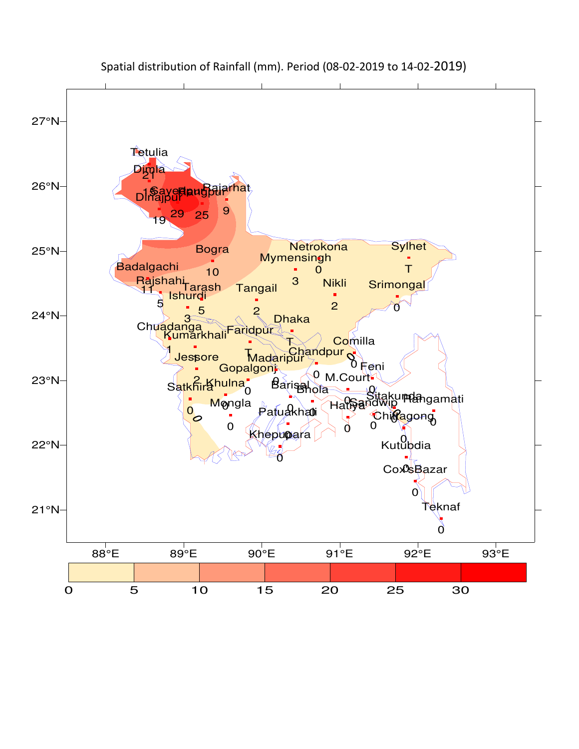

## Spatial distribution of Rainfall (mm). Period (08-02-2019 to 14-02-2019)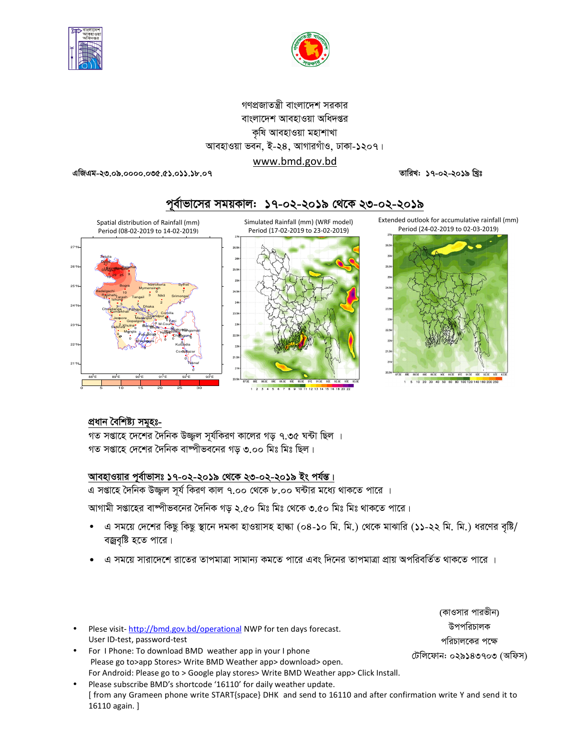



## গণপ্রজাতন্ত্রী বাংলাদেশ সরকার বাংলাদেশ আবহাওয়া অধিদপ্তর কষি আবহাওয়া মহাশাখা আবহাওয়া ভবন, ই-২৪, আগারগাঁও, ঢাকা-১২০৭। www.bmd.gov.bd

এজিএম-২৩.০৯.০০০০.০৩৫.৫১.০১১.১৮.০৭

তারিখ: ১৭-০২-২০১৯ খ্রিঃ



# পূর্বাভাসের সময়কাল: ১৭-০২-২০১৯ থেকে ২৩-০২-২০১৯

### প্ৰধান বৈশিষ্ট্য সমূহঃ-

গত সপ্তাহে দেশের দৈনিক উজ্জল সূর্যকিরণ কালের গড় ৭.৩৫ ঘন্টা ছিল । গত সপ্তাহে দেশের দৈনিক বাষ্পীভবনের গড় ৩.০০ মিঃ মিঃ ছিল।

### আবহাওয়ার পূর্বাভাসঃ ১৭-০২-২০১৯ থেকে ২৩-০২-২০১৯ ইং পর্যন্ত।

এ সপ্তাহে দৈনিক উজ্জল সর্য কিরণ কাল ৭.০০ থেকে ৮.০০ ঘন্টার মধ্যে থাকতে পারে ।

আগামী সপ্তাহের বাষ্পীভবনের দৈনিক গড় ২.৫০ মিঃ মিঃ থেকে ৩.৫০ মিঃ মিঃ থাকতে পারে।

 $1 \t2 \t3 \t4$ 

এ সময়ে দেশের কিছু কিছু স্থানে দমকা হাওয়াসহ হাল্কা (০৪-১০ মি. মি.) থেকে মাঝারি (১১-২২ মি. মি.) ধরণের বৃষ্টি/ বজ্রবৃষ্টি হতে পারে।

**8** 9 10 11 12 13 14 15 16 18 20

এ সময়ে সারাদেশে রাতের তাপমাত্রা সামান্য কমতে পারে এবং দিনের তাপমাত্রা প্রায় অপরিবর্তিত থাকতে পারে ।

Plese visit-http://bmd.gov.bd/operational NWP for ten days forecast. User ID-test, password-test

- For I Phone: To download BMD weather app in your I phone Please go to>app Stores> Write BMD Weather app> download> open. For Android: Please go to > Google play stores> Write BMD Weather app> Click Install.
- Please subscribe BMD's shortcode '16110' for daily weather update. [ from any Grameen phone write START{space} DHK and send to 16110 and after confirmation write Y and send it to 16110 again. ]

(কাওসার পারভীন) উপপরিচালক পরিচালকের পক্ষে

টেলিফোন: ০২৯১৪৩৭০৩ (অফিস)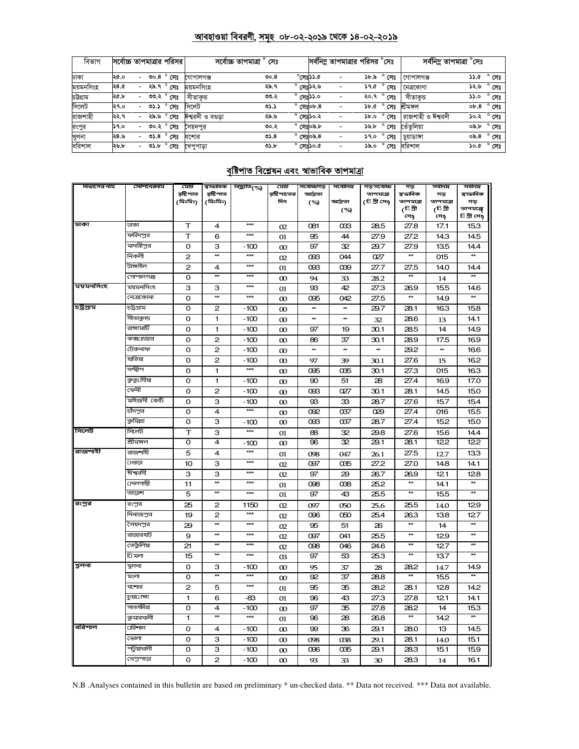### <u> আবহাওয়া বিবরণী, সমূহ ০৮-০২-২০১৯ থেকে ১৪-০২-২০১৯</u>

| বিভাগ     | সর্বোচ্চ তাপমাত্রার পরিসর |                          |      |                     | সৰ্বোচ্চ তাপমাত্ৰা ° সেঃ |      |                         | সর্বনিম্ন তাপমাত্রার পরিসর °সেঃ |                  |                  | সর্বনিম তাপমাত্রা $^\circ$ সেঃ |      |                |
|-----------|---------------------------|--------------------------|------|---------------------|--------------------------|------|-------------------------|---------------------------------|------------------|------------------|--------------------------------|------|----------------|
| ঢাকা      | ২৫.০                      | $\sim$                   |      | <b>ి గా</b>         | গোপালগঞ্জ                | 00.8 | $\delta$ .८८ঃম $^\circ$ | $\overline{\phantom{a}}$        |                  | ১৮.৯ ° সেঃ       | গোপালগঞ্জ                      |      | ১১.৫ ° সেঃ     |
| ময়মনসিংহ | ২৪.৫                      | -                        |      | ২৯.৭ ° সেঃ          | ময়মনসিংহ                | ২৯.৭ | ° সেঃ১২.৬               | $\overline{\phantom{a}}$        |                  | ১৭.৫ ° সেঃ       | নেত্ৰকোণা                      | ১২.৬ | $^{\circ}$ সেঃ |
| চউগ্ৰাম   | ২৫.৮                      | $\overline{\phantom{a}}$ |      | ৩৩.২ ° সেঃ          | সীতাকড                   | ৩৩.২ | $^{\circ}$ সেঃ১১.০      | $\overline{\phantom{a}}$        | ২০.৭ °           | সেঃ              | সীতাকড                         | ە.دد | $^{\circ}$ সেঃ |
| সিলেট     | ২৭.০                      | $\overline{\phantom{0}}$ | ৩১.১ | $^{\circ}$ সেঃ      | সিলেট                    | ৩১.১ | $^{\circ}$ সেঃ০৮.৪      | $\overline{\phantom{a}}$        |                  | $55.6^\circ$ সেঃ | খীমঙ্গল                        | ob.8 | $^{\circ}$ সেঃ |
| রাজশাহী   | ২২.৭                      | $\sim$                   | ২৯.৬ | $^{\circ}$ সেঃ      | ঈশ্বরদী ও বগুড়া         | ২৯.৬ | $^{\circ}$ সেঃ১০.২      | $\overline{\phantom{a}}$        | 5b.0             | সেঃ              | <sup>l</sup> রাজশাহী ও ঈশ্বরদী | ১০.২ | $^{\circ}$ সেঃ |
| রংপুর     | ১৭.০                      | $\overline{\phantom{0}}$ |      | ৩০.২ ° সেঃ          | সৈয়দপর                  | ৩০.২ | $^{\circ}$ সেঃ০৯.৮      | $\overline{\phantom{a}}$        | 5.5 <sub>o</sub> | সেঃ              | তেঁতলিয়া                      | ০৯.৮ | $^{\circ}$ সেঃ |
| খুলনা     | ২৪.৬                      | $\overline{\phantom{a}}$ |      | ৩১.৪ $^{\circ}$ সেঃ | যশোর                     | 05.8 | $^{\circ}$ সেঃ০৯.৪      | $\overline{\phantom{a}}$        | 9.0              | নেঃ              | চয়াডাঙ্গা                     | ০৯.৪ | সেঃ            |
| বরিশাল    | ২৬.৮                      | $\overline{\phantom{a}}$ |      | ৩১.৮ ° সেঃ          | খেপুপাড়া                | 05.5 | $^{\circ}$ সেঃ১০.৫      | $\overline{\phantom{a}}$        |                  | ১৯.০ ° সেঃ       | বরিশাল                         | ১০.৫ | $^{\circ}$ সেঃ |

## <u>বৃষ্টিপাত বিশ্লেষন এবং স্বাভাবিক তাপমাত্রা</u>

| বিভাগের নাম | স্টেশনেরনাম  | মোট                     | ম্বাভাবিক            | বিছ্যুতি(%) | মোট               | সর্বোচ্চগড়     | সর্বোনিম্ন | গড়সর্বোচ্চ                | গড়                   | সর্বনিম্ন       | সর্বনিম্ন           |
|-------------|--------------|-------------------------|----------------------|-------------|-------------------|-----------------|------------|----------------------------|-----------------------|-----------------|---------------------|
|             |              | রষ্টিপাত<br>(মিঃমিঃ)    | রষ্টিপাত<br>(মিঃমিঃ) |             | রষ্টিপাতের<br>দিন | অদ্রিতা         | আদ্ৰতা     | তাপমাত্রা<br>(টি গ্রী সেঃ) | স্বভাবিক<br>তাপমাত্রা | গড<br>তাপমাত্রা | স্বাভাবিক<br>গড়    |
|             |              |                         |                      |             |                   | (%)             | (%)        |                            | (টি গ্রী              | (টি গ্রী        | তাপমাত্ৰা           |
|             |              |                         |                      |             |                   |                 |            |                            | সে <sub>ী</sub>       | সে <sub>ই</sub> | <b>চি গ্রী সে</b> ঃ |
| ঢাকা        | ঢাকা         | $\top$                  | 4                    | $***$       | 02                | 081             | 033        | 28.5                       | 27.8                  | 17.1            | 153                 |
|             | ফরিদপুর      | T                       | 6                    | $***$       | 01                | 95              | 44         | 27.9                       | 27.2                  | 14.3            | 14.5                |
|             | মাদারীপুর    | $\mathbf 0$             | з                    | $-100$      | $\infty$          | 97              | 32         | 29.7                       | 27.9                  | 135             | 14.4                |
|             | নিকলী        | $\overline{\mathbf{c}}$ | $\star\star$         | $***$       | 02                | œG              | 044        | 027                        | **                    | 015             | $\star\star$        |
|             | টাঙ্গাইল     | $\mathbf{2}$            | 4                    | ***         | 01                | 093             | 039        | 27.7                       | 27.5                  | 14.0            | 14.4                |
|             | গোপালগঞ্জ    | $\Omega$                | $\star\star$         | ***         | $\infty$          | 94              | 33         | 28.2                       |                       | 14              |                     |
| ময়মনসিংহ   | ময়মনসিংহ    | 3                       | з                    | $***$       | 01                | 93              | 42         | 27.3                       | 26.9                  | 15.5            | 14.6                |
|             | নেত্রকোনা    | $\Omega$                | $\star\star$         | $***$       | $\infty$          | 095             | 042        | 27.5                       | $\star\star$          | 14.9            | $\overline{a}$      |
| চট্টগ্ৰাম   | চট্ৰগ্ৰাম    | 0                       | 2                    | $-100$      | $\infty$          | ₩               | ₩          | 29.7                       | 28.1                  | 163             | 15.8                |
|             | সীতাকুন্ড    | $\mathbf 0$             | 1                    | $-100$      | $\infty$          | ₩               | **         | 32                         | 28.6                  | 13              | 14.1                |
|             | রাঙ্গামার্টি | o                       | 1                    | $-100$      | $\infty$          | 97              | 19         | 30.1                       | 28.5                  | 14              | 14.9                |
|             | কক্সচাজার    | $\Omega$                | $\mathbf{z}$         | $-100$      | $\infty$          | 86              | 37         | 30.1                       | 28.9                  | 17.5            | 16.9                |
|             | টেকনাফ       | $\Omega$                | $\mathbf{2}$         | $-100$      | $\infty$          | **              | **         | ₩                          | 29.2                  | **              | 166                 |
|             | হাতিয়া      | $\Omega$                | $\overline{c}$       | $-100$      | $\infty$          | 97              | 39         | 30.1                       | 27.6                  | 15              | 162                 |
|             | সন্দ্বীপ     | o                       | 1                    | $***$       | $\infty$          | 095             | 035        | 30.1                       | 27.3                  | 015             | 163                 |
|             | কুতুঢদীয়া   | $\Omega$                | 1                    | $-100$      | $\infty$          | 90              | 51         | 28                         | 27.4                  | 16.9            | 17.0                |
|             | ফেনী         | o                       | 2                    | $-100$      | $\infty$          | œG              | 027        | 30.1                       | 28.1                  | 14.5            | 15.0                |
|             | মাইজদী কোঁট  | $\Omega$                | 3                    | $-100$      | $\infty$          | 93              | 33         | 28.7                       | 27.6                  | 15.7            | 15.4                |
|             | চাঁদপুর      | o                       | 4                    | $***$       | $\infty$          | 092             | 037        | Q29                        | 27.4                  | 016             | 15.5                |
|             | কুমিল্লা     | o                       | з                    | $-100$      | $\infty$          | œG              | 037        | 28.7                       | 27.4                  | 152             | 15.0                |
| সিলেট       | সিলেট        | т                       | З                    | $***$       | 01                | 88              | 32         | 29.8                       | 27.6                  | 156             | 14.4                |
|             | শ্ৰীমঙ্গল    | $\Omega$                | 4                    | $-100$      | $\infty$          | 96              | 32         | 29.1                       | 281                   | 122             | 122                 |
| রাজশাহী     | রাজশাহী      | 5                       | 4                    | $***$       | 01                | 098             | 047        | 26.1                       | 27.5                  | 12.7            | 133                 |
|             | ⊔গুড়া       | 10                      | З                    | $***$       | 02                | 097             | 035        | 27.2                       | 27.0                  | 14.8            | 14.1                |
|             | ঈশ্বরদী      | 3                       | з                    | $***$       | 02                | 97              | 29         | 26.7                       | 26.9                  | 121             | 128                 |
|             | ⊔দলগাছী      | 11                      | $\star\star$         | $***$       | 01                | 098             | 038        | 25.2                       | $\star\star$          | 14.1            | $\star\star$        |
|             | তাড়াশ       | 5                       | $\star\star$         | $***$       | 01                | 97              | 43         | 25.5                       | $\star\star$          | 15.5            | $\star\star$        |
| রংপুর       | রংপুর        | 25                      | 2                    | 1150        | 02                | 097             | 050        | 25.6                       | 25.5                  | 14.0            | 129                 |
|             | দিনাজপুর     | 19                      | 2                    | $***$       | 02                | 096             | 050        | 25.4                       | 263                   | 138             | 127                 |
|             | সৈয়দপুর     | 29                      | $\star\star$         | $***$       | 02                | 95              | 51         | 26                         | $\star\star$          | 14              | $\star\star$        |
|             | রাজারহাট     | 9                       | $\star\star$         | $***$       | 02                | 097             | 041        | 25.5                       | $\star\star$          | 129             | $\star\star$        |
|             | তেতুঁলিয়া   | 21                      | $\star\star$         | $***$       | 02                | 098             | 046        | 24.6                       | $\star\star$          | 127             | $\star\star$        |
|             | তি মলা       | 15                      | $\ast$               | $***$       | $\alpha$          | 97              | 53         | 25.3                       | $\star\star$          | 13.7            | $\overline{a}$      |
| খুলনা       | খুলনা        | O                       | З                    | -100        | $\infty$          | 95              | 37         | 28                         | 28.2                  | 14.7            | 14.9                |
|             | মংলা         | $\Omega$                | $\star\star$         | $***$       | $\infty$          | 92              | 37         | 28.8                       | $\star\star$          | 15.5            | $\star\star$        |
|             | যশোর         | $\mathbf{2}$            | 5                    | $***$       | 01                | 95              | 35         | 28.2                       | 28.1                  | 128             | 14.2                |
|             | চয়া⊡াঙ্গা   | $\mathbf{1}$            | 6                    | -83         | 01                | 96              | 43         | 27.3                       | 27.8                  | 121             | 14.1                |
|             | সাতক্ষীরা    | $\Omega$                | $\overline{4}$       | $-100$      | $\infty$          | 97              | 35         | 27.8                       | 28.2                  | 14              | 15.3                |
|             | কুমারখালী    | $\overline{1}$          | $\overline{a}$       | $***$       | 01                | $\overline{96}$ | 28         | 26.8                       | $\overline{\bf x}$    | 14.2            | $\star\star$        |
| বরিশাল      | ⊔রিশাল       | o                       | 4                    | $-100$      | $\infty$          | 99              | 36         | 29.1                       | 28.0                  | 13              | 14.5                |
|             | ভোলা         | $\Omega$                | 3                    | $-100$      | $\infty$          | 098             | 038        | 29.1                       | 28.1                  | 14.0            | 15.1                |
|             | পটুয়াখালী   | 0                       | з                    | $-100$      | $\infty$          | 096             | 035        | 29.1                       | 28.3                  | 151             | 15.9                |
|             | খেপুপাড়া    | $\Omega$                | $\overline{c}$       | $-100$      | $\infty$          | 93              | 33         | 30                         | 28.3                  | 14              | 16.1                |

N.B .Analyses contained in this bulletin are based on preliminary \* un-checked data. \*\* Data not received. \*\*\* Data not available.